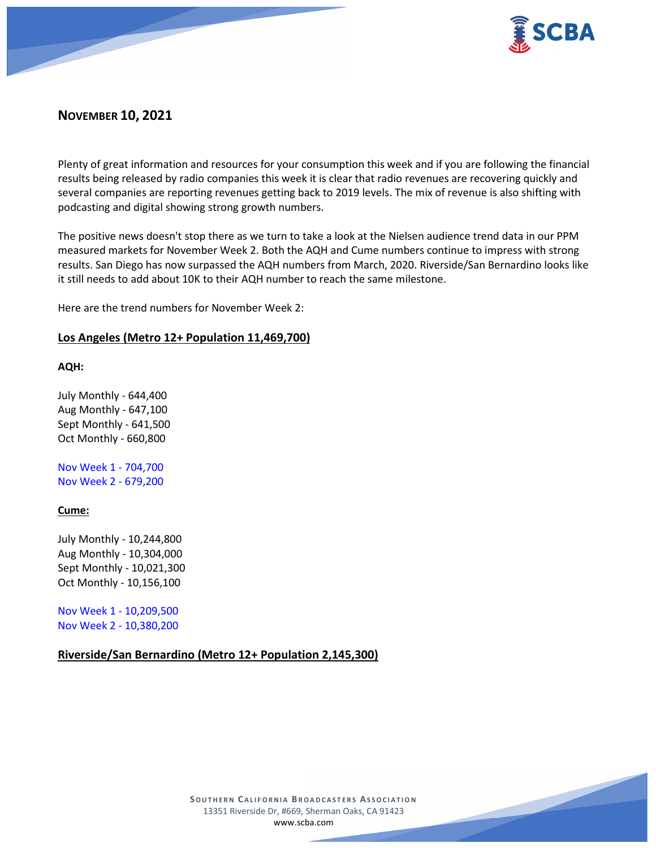

# **NOVEMBER 10, 2021**

Plenty of great information and resources for your consumption this week and if you are following the financial results being released by radio companies this week it is clear that radio revenues are recovering quickly and several companies are reporting revenues getting back to 2019 levels. The mix of revenue is also shifting with podcasting and digital showing strong growth numbers.

The positive news doesn't stop there as we turn to take a look at the Nielsen audience trend data in our PPM measured markets for November Week 2. Both the AQH and Cume numbers continue to impress with strong results. San Diego has now surpassed the AQH numbers from March, 2020. Riverside/San Bernardino looks like it still needs to add about 10K to their AQH number to reach the same milestone.

Here are the trend numbers for November Week 2:

### **Los Angeles (Metro 12+ Population 11,469,700)**

**AQH:**

July Monthly - 644,400 Aug Monthly - 647,100 Sept Monthly - 641,500 Oct Monthly - 660,800

Nov Week 1 - 704,700 Nov Week 2 - 679,200

## **Cume:**

July Monthly - 10,244,800 Aug Monthly - 10,304,000 Sept Monthly - 10,021,300 Oct Monthly - 10,156,100

Nov Week 1 - 10,209,500 Nov Week 2 - 10,380,200

## **Riverside/San Bernardino (Metro 12+ Population 2,145,300)**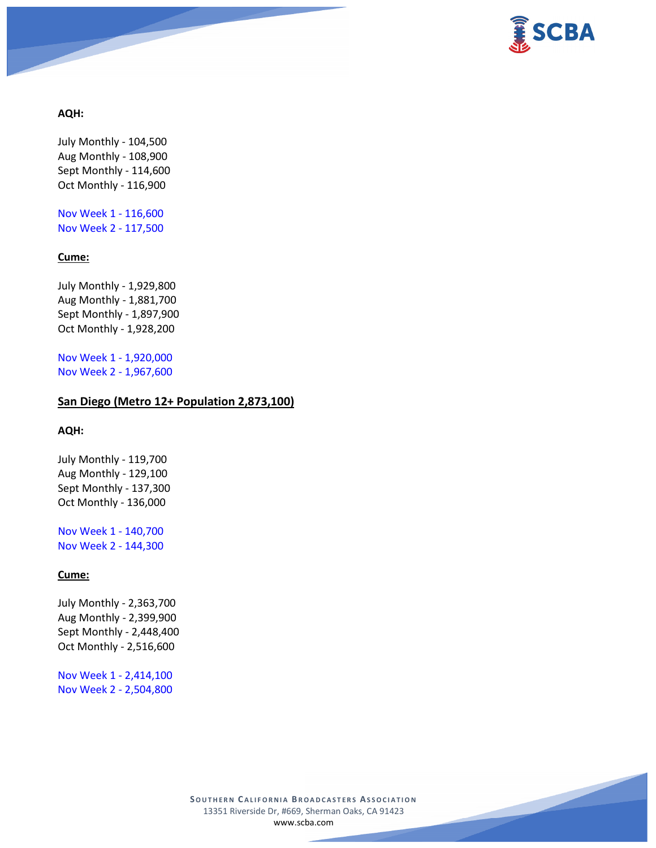

### **AQH:**

July Monthly - 104,500 Aug Monthly - 108,900 Sept Monthly - 114,600 Oct Monthly - 116,900

Nov Week 1 - 116,600 Nov Week 2 - 117,500

#### **Cume:**

July Monthly - 1,929,800 Aug Monthly - 1,881,700 Sept Monthly - 1,897,900 Oct Monthly - 1,928,200

Nov Week 1 - 1,920,000 Nov Week 2 - 1,967,600

### **San Diego (Metro 12+ Population 2,873,100)**

## **AQH:**

July Monthly - 119,700 Aug Monthly - 129,100 Sept Monthly - 137,300 Oct Monthly - 136,000

Nov Week 1 - 140,700 Nov Week 2 - 144,300

## **Cume:**

July Monthly - 2,363,700 Aug Monthly - 2,399,900 Sept Monthly - 2,448,400 Oct Monthly - 2,516,600

Nov Week 1 - 2,414,100 Nov Week 2 - 2,504,800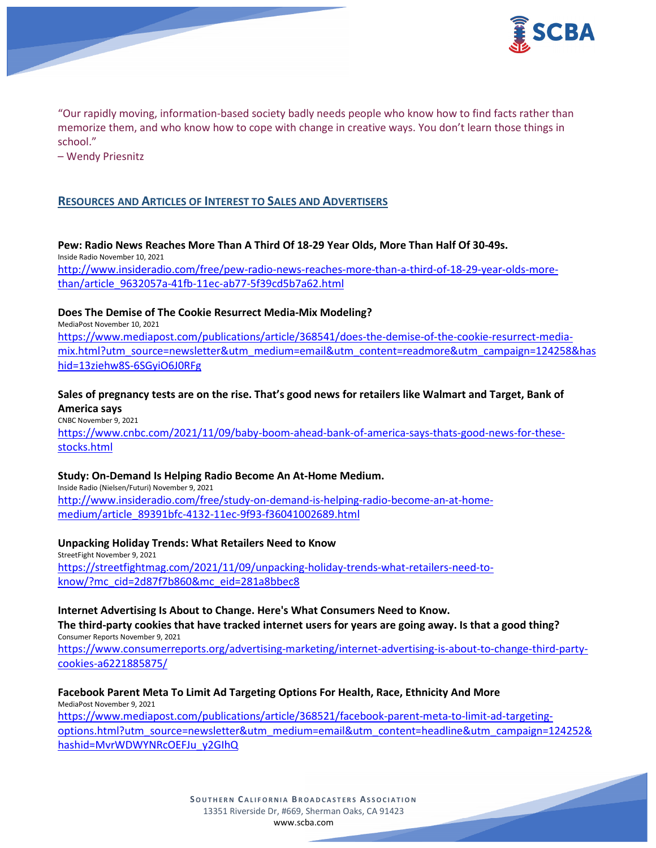

"Our rapidly moving, information-based society badly needs people who know how to find facts rather than memorize them, and who know how to cope with change in creative ways. You don't learn those things in school."

– Wendy Priesnitz

## **RESOURCES AND ARTICLES OF INTEREST TO SALES AND ADVERTISERS**

**Pew: Radio News Reaches More Than A Third Of 18-29 Year Olds, More Than Half Of 30-49s.** Inside Radio November 10, 2021 [http://www.insideradio.com/free/pew-radio-news-reaches-more-than-a-third-of-18-29-year-olds-more](http://www.insideradio.com/free/pew-radio-news-reaches-more-than-a-third-of-18-29-year-olds-more-than/article_9632057a-41fb-11ec-ab77-5f39cd5b7a62.html)[than/article\\_9632057a-41fb-11ec-ab77-5f39cd5b7a62.html](http://www.insideradio.com/free/pew-radio-news-reaches-more-than-a-third-of-18-29-year-olds-more-than/article_9632057a-41fb-11ec-ab77-5f39cd5b7a62.html)

### **Does The Demise of The Cookie Resurrect Media-Mix Modeling?**

MediaPost November 10, 2021

[https://www.mediapost.com/publications/article/368541/does-the-demise-of-the-cookie-resurrect-media](https://www.mediapost.com/publications/article/368541/does-the-demise-of-the-cookie-resurrect-media-mix.html?utm_source=newsletter&utm_medium=email&utm_content=readmore&utm_campaign=124258&hashid=13ziehw8S-6SGyiO6J0RFg)[mix.html?utm\\_source=newsletter&utm\\_medium=email&utm\\_content=readmore&utm\\_campaign=124258&has](https://www.mediapost.com/publications/article/368541/does-the-demise-of-the-cookie-resurrect-media-mix.html?utm_source=newsletter&utm_medium=email&utm_content=readmore&utm_campaign=124258&hashid=13ziehw8S-6SGyiO6J0RFg) [hid=13ziehw8S-6SGyiO6J0RFg](https://www.mediapost.com/publications/article/368541/does-the-demise-of-the-cookie-resurrect-media-mix.html?utm_source=newsletter&utm_medium=email&utm_content=readmore&utm_campaign=124258&hashid=13ziehw8S-6SGyiO6J0RFg)

## **Sales of pregnancy tests are on the rise. That's good news for retailers like Walmart and Target, Bank of America says**

CNBC November 9, 2021 [https://www.cnbc.com/2021/11/09/baby-boom-ahead-bank-of-america-says-thats-good-news-for-these](https://www.cnbc.com/2021/11/09/baby-boom-ahead-bank-of-america-says-thats-good-news-for-these-stocks.html)[stocks.html](https://www.cnbc.com/2021/11/09/baby-boom-ahead-bank-of-america-says-thats-good-news-for-these-stocks.html)

#### **Study: On-Demand Is Helping Radio Become An At-Home Medium.**

Inside Radio (Nielsen/Futuri) November 9, 2021 [http://www.insideradio.com/free/study-on-demand-is-helping-radio-become-an-at-home](http://www.insideradio.com/free/study-on-demand-is-helping-radio-become-an-at-home-medium/article_89391bfc-4132-11ec-9f93-f36041002689.html)[medium/article\\_89391bfc-4132-11ec-9f93-f36041002689.html](http://www.insideradio.com/free/study-on-demand-is-helping-radio-become-an-at-home-medium/article_89391bfc-4132-11ec-9f93-f36041002689.html)

**Unpacking Holiday Trends: What Retailers Need to Know** StreetFight November 9, 2021 [https://streetfightmag.com/2021/11/09/unpacking-holiday-trends-what-retailers-need-to](https://streetfightmag.com/2021/11/09/unpacking-holiday-trends-what-retailers-need-to-know/?mc_cid=2d87f7b860&mc_eid=281a8bbec8)[know/?mc\\_cid=2d87f7b860&mc\\_eid=281a8bbec8](https://streetfightmag.com/2021/11/09/unpacking-holiday-trends-what-retailers-need-to-know/?mc_cid=2d87f7b860&mc_eid=281a8bbec8)

# **Internet Advertising Is About to Change. Here's What Consumers Need to Know.**

**The third-party cookies that have tracked internet users for years are going away. Is that a good thing?** Consumer Reports November 9, 2021 [https://www.consumerreports.org/advertising-marketing/internet-advertising-is-about-to-change-third-party-](https://www.consumerreports.org/advertising-marketing/internet-advertising-is-about-to-change-third-party-cookies-a6221885875/)

[cookies-a6221885875/](https://www.consumerreports.org/advertising-marketing/internet-advertising-is-about-to-change-third-party-cookies-a6221885875/)

#### **Facebook Parent Meta To Limit Ad Targeting Options For Health, Race, Ethnicity And More** MediaPost November 9, 2021

[https://www.mediapost.com/publications/article/368521/facebook-parent-meta-to-limit-ad-targeting](https://www.mediapost.com/publications/article/368521/facebook-parent-meta-to-limit-ad-targeting-options.html?utm_source=newsletter&utm_medium=email&utm_content=headline&utm_campaign=124252&hashid=MvrWDWYNRcOEFJu_y2GIhQ)[options.html?utm\\_source=newsletter&utm\\_medium=email&utm\\_content=headline&utm\\_campaign=124252&](https://www.mediapost.com/publications/article/368521/facebook-parent-meta-to-limit-ad-targeting-options.html?utm_source=newsletter&utm_medium=email&utm_content=headline&utm_campaign=124252&hashid=MvrWDWYNRcOEFJu_y2GIhQ) [hashid=MvrWDWYNRcOEFJu\\_y2GIhQ](https://www.mediapost.com/publications/article/368521/facebook-parent-meta-to-limit-ad-targeting-options.html?utm_source=newsletter&utm_medium=email&utm_content=headline&utm_campaign=124252&hashid=MvrWDWYNRcOEFJu_y2GIhQ)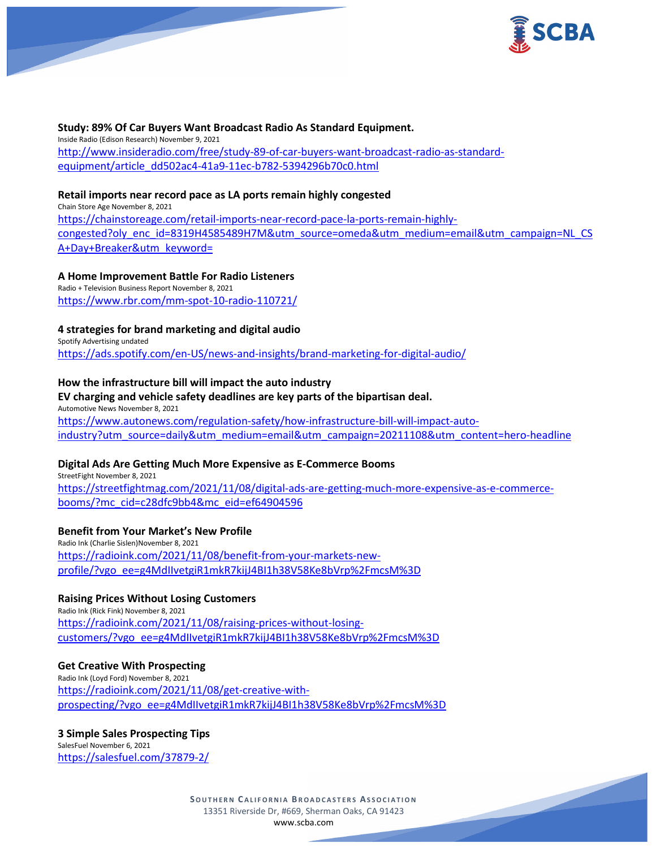

**Study: 89% Of Car Buyers Want Broadcast Radio As Standard Equipment.** Inside Radio (Edison Research) November 9, 2021 [http://www.insideradio.com/free/study-89-of-car-buyers-want-broadcast-radio-as-standard](http://www.insideradio.com/free/study-89-of-car-buyers-want-broadcast-radio-as-standard-equipment/article_dd502ac4-41a9-11ec-b782-5394296b70c0.html)[equipment/article\\_dd502ac4-41a9-11ec-b782-5394296b70c0.html](http://www.insideradio.com/free/study-89-of-car-buyers-want-broadcast-radio-as-standard-equipment/article_dd502ac4-41a9-11ec-b782-5394296b70c0.html)

## **Retail imports near record pace as LA ports remain highly congested**

Chain Store Age November 8, 2021 [https://chainstoreage.com/retail-imports-near-record-pace-la-ports-remain-highly](https://chainstoreage.com/retail-imports-near-record-pace-la-ports-remain-highly-congested?oly_enc_id=8319H4585489H7M&utm_source=omeda&utm_medium=email&utm_campaign=NL_CSA+Day+Breaker&utm_keyword=)[congested?oly\\_enc\\_id=8319H4585489H7M&utm\\_source=omeda&utm\\_medium=email&utm\\_campaign=NL\\_CS](https://chainstoreage.com/retail-imports-near-record-pace-la-ports-remain-highly-congested?oly_enc_id=8319H4585489H7M&utm_source=omeda&utm_medium=email&utm_campaign=NL_CSA+Day+Breaker&utm_keyword=) [A+Day+Breaker&utm\\_keyword=](https://chainstoreage.com/retail-imports-near-record-pace-la-ports-remain-highly-congested?oly_enc_id=8319H4585489H7M&utm_source=omeda&utm_medium=email&utm_campaign=NL_CSA+Day+Breaker&utm_keyword=)

#### **A Home Improvement Battle For Radio Listeners**

Radio + Television Business Report November 8, 2021 <https://www.rbr.com/mm-spot-10-radio-110721/>

### **4 strategies for brand marketing and digital audio**

Spotify Advertising undated <https://ads.spotify.com/en-US/news-and-insights/brand-marketing-for-digital-audio/>

#### **How the infrastructure bill will impact the auto industry**

#### **EV charging and vehicle safety deadlines are key parts of the bipartisan deal.**

Automotive News November 8, 2021 [https://www.autonews.com/regulation-safety/how-infrastructure-bill-will-impact-auto](https://www.autonews.com/regulation-safety/how-infrastructure-bill-will-impact-auto-industry?utm_source=daily&utm_medium=email&utm_campaign=20211108&utm_content=hero-headline)[industry?utm\\_source=daily&utm\\_medium=email&utm\\_campaign=20211108&utm\\_content=hero-headline](https://www.autonews.com/regulation-safety/how-infrastructure-bill-will-impact-auto-industry?utm_source=daily&utm_medium=email&utm_campaign=20211108&utm_content=hero-headline)

#### **Digital Ads Are Getting Much More Expensive as E-Commerce Booms**

StreetFight November 8, 2021 [https://streetfightmag.com/2021/11/08/digital-ads-are-getting-much-more-expensive-as-e-commerce](https://streetfightmag.com/2021/11/08/digital-ads-are-getting-much-more-expensive-as-e-commerce-booms/?mc_cid=c28dfc9bb4&mc_eid=ef64904596)[booms/?mc\\_cid=c28dfc9bb4&mc\\_eid=ef64904596](https://streetfightmag.com/2021/11/08/digital-ads-are-getting-much-more-expensive-as-e-commerce-booms/?mc_cid=c28dfc9bb4&mc_eid=ef64904596)

## **Benefit from Your Market's New Profile**

Radio Ink (Charlie Sislen)November 8, 2021 [https://radioink.com/2021/11/08/benefit-from-your-markets-new](https://radioink.com/2021/11/08/benefit-from-your-markets-new-profile/?vgo_ee=g4MdIIvetgiR1mkR7kijJ4BI1h38V58Ke8bVrp%2FmcsM%3D)[profile/?vgo\\_ee=g4MdIIvetgiR1mkR7kijJ4BI1h38V58Ke8bVrp%2FmcsM%3D](https://radioink.com/2021/11/08/benefit-from-your-markets-new-profile/?vgo_ee=g4MdIIvetgiR1mkR7kijJ4BI1h38V58Ke8bVrp%2FmcsM%3D)

#### **Raising Prices Without Losing Customers**

Radio Ink (Rick Fink) November 8, 2021 [https://radioink.com/2021/11/08/raising-prices-without-losing](https://radioink.com/2021/11/08/raising-prices-without-losing-customers/?vgo_ee=g4MdIIvetgiR1mkR7kijJ4BI1h38V58Ke8bVrp%2FmcsM%3D)[customers/?vgo\\_ee=g4MdIIvetgiR1mkR7kijJ4BI1h38V58Ke8bVrp%2FmcsM%3D](https://radioink.com/2021/11/08/raising-prices-without-losing-customers/?vgo_ee=g4MdIIvetgiR1mkR7kijJ4BI1h38V58Ke8bVrp%2FmcsM%3D)

#### **Get Creative With Prospecting**

Radio Ink (Loyd Ford) November 8, 2021 [https://radioink.com/2021/11/08/get-creative-with](https://radioink.com/2021/11/08/get-creative-with-prospecting/?vgo_ee=g4MdIIvetgiR1mkR7kijJ4BI1h38V58Ke8bVrp%2FmcsM%3D)[prospecting/?vgo\\_ee=g4MdIIvetgiR1mkR7kijJ4BI1h38V58Ke8bVrp%2FmcsM%3D](https://radioink.com/2021/11/08/get-creative-with-prospecting/?vgo_ee=g4MdIIvetgiR1mkR7kijJ4BI1h38V58Ke8bVrp%2FmcsM%3D)

#### **3 Simple Sales Prospecting Tips**

SalesFuel November 6, 2021 <https://salesfuel.com/37879-2/>

> **SOUTHERN C ALIFORNIA B ROADCASTERS ASSOCIATION** 13351 Riverside Dr, #669, Sherman Oaks, CA 91423 [www.scba.com](http://www.scba.com/)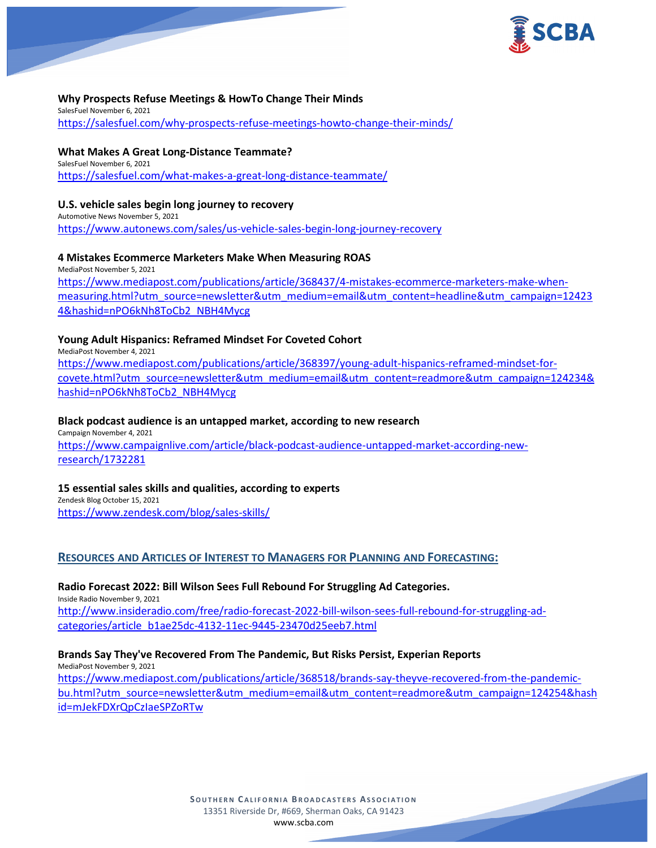

### **Why Prospects Refuse Meetings & HowTo Change Their Minds**

SalesFuel November 6, 2021 <https://salesfuel.com/why-prospects-refuse-meetings-howto-change-their-minds/>

#### **What Makes A Great Long-Distance Teammate?**

SalesFuel November 6, 2021 <https://salesfuel.com/what-makes-a-great-long-distance-teammate/>

#### **U.S. vehicle sales begin long journey to recovery**

Automotive News November 5, 2021 <https://www.autonews.com/sales/us-vehicle-sales-begin-long-journey-recovery>

### **4 Mistakes Ecommerce Marketers Make When Measuring ROAS**

MediaPost November 5, 2021 [https://www.mediapost.com/publications/article/368437/4-mistakes-ecommerce-marketers-make-when](https://www.mediapost.com/publications/article/368437/4-mistakes-ecommerce-marketers-make-when-measuring.html?utm_source=newsletter&utm_medium=email&utm_content=headline&utm_campaign=124234&hashid=nPO6kNh8ToCb2_NBH4Mycg)[measuring.html?utm\\_source=newsletter&utm\\_medium=email&utm\\_content=headline&utm\\_campaign=12423](https://www.mediapost.com/publications/article/368437/4-mistakes-ecommerce-marketers-make-when-measuring.html?utm_source=newsletter&utm_medium=email&utm_content=headline&utm_campaign=124234&hashid=nPO6kNh8ToCb2_NBH4Mycg) [4&hashid=nPO6kNh8ToCb2\\_NBH4Mycg](https://www.mediapost.com/publications/article/368437/4-mistakes-ecommerce-marketers-make-when-measuring.html?utm_source=newsletter&utm_medium=email&utm_content=headline&utm_campaign=124234&hashid=nPO6kNh8ToCb2_NBH4Mycg)

## **Young Adult Hispanics: Reframed Mindset For Coveted Cohort**

MediaPost November 4, 2021 [https://www.mediapost.com/publications/article/368397/young-adult-hispanics-reframed-mindset-for](https://www.mediapost.com/publications/article/368397/young-adult-hispanics-reframed-mindset-for-covete.html?utm_source=newsletter&utm_medium=email&utm_content=readmore&utm_campaign=124234&hashid=nPO6kNh8ToCb2_NBH4Mycg)[covete.html?utm\\_source=newsletter&utm\\_medium=email&utm\\_content=readmore&utm\\_campaign=124234&](https://www.mediapost.com/publications/article/368397/young-adult-hispanics-reframed-mindset-for-covete.html?utm_source=newsletter&utm_medium=email&utm_content=readmore&utm_campaign=124234&hashid=nPO6kNh8ToCb2_NBH4Mycg) [hashid=nPO6kNh8ToCb2\\_NBH4Mycg](https://www.mediapost.com/publications/article/368397/young-adult-hispanics-reframed-mindset-for-covete.html?utm_source=newsletter&utm_medium=email&utm_content=readmore&utm_campaign=124234&hashid=nPO6kNh8ToCb2_NBH4Mycg)

#### **Black podcast audience is an untapped market, according to new research**

Campaign November 4, 2021 [https://www.campaignlive.com/article/black-podcast-audience-untapped-market-according-new](https://www.campaignlive.com/article/black-podcast-audience-untapped-market-according-new-research/1732281)[research/1732281](https://www.campaignlive.com/article/black-podcast-audience-untapped-market-according-new-research/1732281)

**15 essential sales skills and qualities, according to experts** Zendesk Blog October 15, 2021

<https://www.zendesk.com/blog/sales-skills/>

## **RESOURCES AND ARTICLES OF INTEREST TO MANAGERS FOR PLANNING AND FORECASTING:**

#### **Radio Forecast 2022: Bill Wilson Sees Full Rebound For Struggling Ad Categories.**

Inside Radio November 9, 2021 [http://www.insideradio.com/free/radio-forecast-2022-bill-wilson-sees-full-rebound-for-struggling-ad](http://www.insideradio.com/free/radio-forecast-2022-bill-wilson-sees-full-rebound-for-struggling-ad-categories/article_b1ae25dc-4132-11ec-9445-23470d25eeb7.html)[categories/article\\_b1ae25dc-4132-11ec-9445-23470d25eeb7.html](http://www.insideradio.com/free/radio-forecast-2022-bill-wilson-sees-full-rebound-for-struggling-ad-categories/article_b1ae25dc-4132-11ec-9445-23470d25eeb7.html)

## **Brands Say They've Recovered From The Pandemic, But Risks Persist, Experian Reports**

MediaPost November 9, 2021

[https://www.mediapost.com/publications/article/368518/brands-say-theyve-recovered-from-the-pandemic](https://www.mediapost.com/publications/article/368518/brands-say-theyve-recovered-from-the-pandemic-bu.html?utm_source=newsletter&utm_medium=email&utm_content=readmore&utm_campaign=124254&hashid=mJekFDXrQpCzIaeSPZoRTw)[bu.html?utm\\_source=newsletter&utm\\_medium=email&utm\\_content=readmore&utm\\_campaign=124254&hash](https://www.mediapost.com/publications/article/368518/brands-say-theyve-recovered-from-the-pandemic-bu.html?utm_source=newsletter&utm_medium=email&utm_content=readmore&utm_campaign=124254&hashid=mJekFDXrQpCzIaeSPZoRTw) [id=mJekFDXrQpCzIaeSPZoRTw](https://www.mediapost.com/publications/article/368518/brands-say-theyve-recovered-from-the-pandemic-bu.html?utm_source=newsletter&utm_medium=email&utm_content=readmore&utm_campaign=124254&hashid=mJekFDXrQpCzIaeSPZoRTw)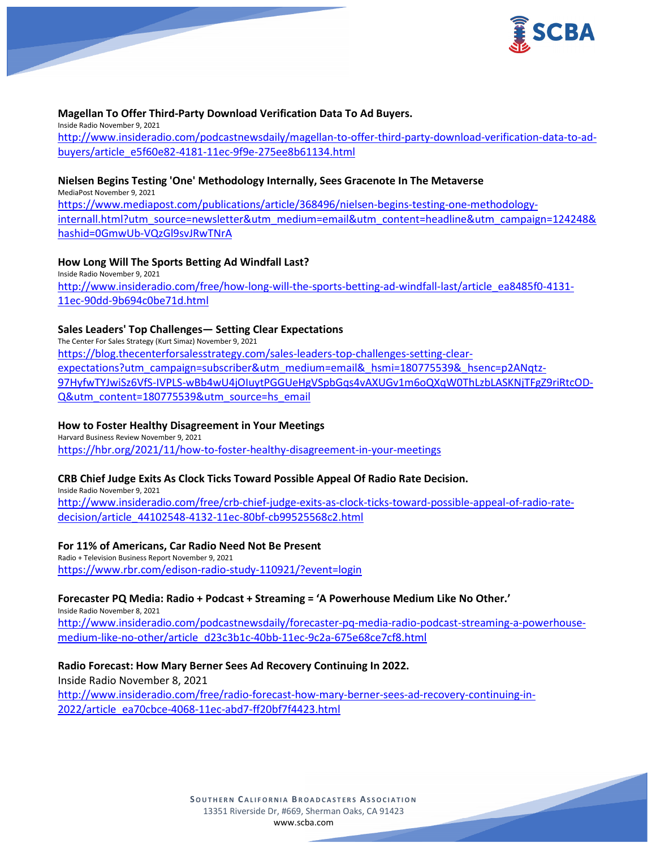

### **Magellan To Offer Third-Party Download Verification Data To Ad Buyers.**

Inside Radio November 9, 2021 [http://www.insideradio.com/podcastnewsdaily/magellan-to-offer-third-party-download-verification-data-to-ad](http://www.insideradio.com/podcastnewsdaily/magellan-to-offer-third-party-download-verification-data-to-ad-buyers/article_e5f60e82-4181-11ec-9f9e-275ee8b61134.html)[buyers/article\\_e5f60e82-4181-11ec-9f9e-275ee8b61134.html](http://www.insideradio.com/podcastnewsdaily/magellan-to-offer-third-party-download-verification-data-to-ad-buyers/article_e5f60e82-4181-11ec-9f9e-275ee8b61134.html)

#### **Nielsen Begins Testing 'One' Methodology Internally, Sees Gracenote In The Metaverse**

MediaPost November 9, 2021 [https://www.mediapost.com/publications/article/368496/nielsen-begins-testing-one-methodology](https://www.mediapost.com/publications/article/368496/nielsen-begins-testing-one-methodology-internall.html?utm_source=newsletter&utm_medium=email&utm_content=headline&utm_campaign=124248&hashid=0GmwUb-VQzGl9svJRwTNrA)[internall.html?utm\\_source=newsletter&utm\\_medium=email&utm\\_content=headline&utm\\_campaign=124248&](https://www.mediapost.com/publications/article/368496/nielsen-begins-testing-one-methodology-internall.html?utm_source=newsletter&utm_medium=email&utm_content=headline&utm_campaign=124248&hashid=0GmwUb-VQzGl9svJRwTNrA) [hashid=0GmwUb-VQzGl9svJRwTNrA](https://www.mediapost.com/publications/article/368496/nielsen-begins-testing-one-methodology-internall.html?utm_source=newsletter&utm_medium=email&utm_content=headline&utm_campaign=124248&hashid=0GmwUb-VQzGl9svJRwTNrA)

### **How Long Will The Sports Betting Ad Windfall Last?**

Inside Radio November 9, 2021 [http://www.insideradio.com/free/how-long-will-the-sports-betting-ad-windfall-last/article\\_ea8485f0-4131-](http://www.insideradio.com/free/how-long-will-the-sports-betting-ad-windfall-last/article_ea8485f0-4131-11ec-90dd-9b694c0be71d.html) [11ec-90dd-9b694c0be71d.html](http://www.insideradio.com/free/how-long-will-the-sports-betting-ad-windfall-last/article_ea8485f0-4131-11ec-90dd-9b694c0be71d.html)

### **Sales Leaders' Top Challenges— Setting Clear Expectations**

The Center For Sales Strategy (Kurt Simaz) November 9, 2021 [https://blog.thecenterforsalesstrategy.com/sales-leaders-top-challenges-setting-clear](https://blog.thecenterforsalesstrategy.com/sales-leaders-top-challenges-setting-clear-expectations?utm_campaign=subscriber&utm_medium=email&_hsmi=180775539&_hsenc=p2ANqtz-97HyfwTYJwiSz6VfS-IVPLS-wBb4wU4jOIuytPGGUeHgVSpbGqs4vAXUGv1m6oQXqW0ThLzbLASKNjTFgZ9riRtcOD-Q&utm_content=180775539&utm_source=hs_email)[expectations?utm\\_campaign=subscriber&utm\\_medium=email&\\_hsmi=180775539&\\_hsenc=p2ANqtz-](https://blog.thecenterforsalesstrategy.com/sales-leaders-top-challenges-setting-clear-expectations?utm_campaign=subscriber&utm_medium=email&_hsmi=180775539&_hsenc=p2ANqtz-97HyfwTYJwiSz6VfS-IVPLS-wBb4wU4jOIuytPGGUeHgVSpbGqs4vAXUGv1m6oQXqW0ThLzbLASKNjTFgZ9riRtcOD-Q&utm_content=180775539&utm_source=hs_email)[97HyfwTYJwiSz6VfS-IVPLS-wBb4wU4jOIuytPGGUeHgVSpbGqs4vAXUGv1m6oQXqW0ThLzbLASKNjTFgZ9riRtcOD-](https://blog.thecenterforsalesstrategy.com/sales-leaders-top-challenges-setting-clear-expectations?utm_campaign=subscriber&utm_medium=email&_hsmi=180775539&_hsenc=p2ANqtz-97HyfwTYJwiSz6VfS-IVPLS-wBb4wU4jOIuytPGGUeHgVSpbGqs4vAXUGv1m6oQXqW0ThLzbLASKNjTFgZ9riRtcOD-Q&utm_content=180775539&utm_source=hs_email)[Q&utm\\_content=180775539&utm\\_source=hs\\_email](https://blog.thecenterforsalesstrategy.com/sales-leaders-top-challenges-setting-clear-expectations?utm_campaign=subscriber&utm_medium=email&_hsmi=180775539&_hsenc=p2ANqtz-97HyfwTYJwiSz6VfS-IVPLS-wBb4wU4jOIuytPGGUeHgVSpbGqs4vAXUGv1m6oQXqW0ThLzbLASKNjTFgZ9riRtcOD-Q&utm_content=180775539&utm_source=hs_email)

### **How to Foster Healthy Disagreement in Your Meetings**

Harvard Business Review November 9, 2021 <https://hbr.org/2021/11/how-to-foster-healthy-disagreement-in-your-meetings>

## **CRB Chief Judge Exits As Clock Ticks Toward Possible Appeal Of Radio Rate Decision.**

Inside Radio November 9, 2021 [http://www.insideradio.com/free/crb-chief-judge-exits-as-clock-ticks-toward-possible-appeal-of-radio-rate](http://www.insideradio.com/free/crb-chief-judge-exits-as-clock-ticks-toward-possible-appeal-of-radio-rate-decision/article_44102548-4132-11ec-80bf-cb99525568c2.html)[decision/article\\_44102548-4132-11ec-80bf-cb99525568c2.html](http://www.insideradio.com/free/crb-chief-judge-exits-as-clock-ticks-toward-possible-appeal-of-radio-rate-decision/article_44102548-4132-11ec-80bf-cb99525568c2.html)

#### **For 11% of Americans, Car Radio Need Not Be Present**

Radio + Television Business Report November 9, 2021 <https://www.rbr.com/edison-radio-study-110921/?event=login>

## **Forecaster PQ Media: Radio + Podcast + Streaming = 'A Powerhouse Medium Like No Other.'**

Inside Radio November 8, 2021 [http://www.insideradio.com/podcastnewsdaily/forecaster-pq-media-radio-podcast-streaming-a-powerhouse](http://www.insideradio.com/podcastnewsdaily/forecaster-pq-media-radio-podcast-streaming-a-powerhouse-medium-like-no-other/article_d23c3b1c-40bb-11ec-9c2a-675e68ce7cf8.html)[medium-like-no-other/article\\_d23c3b1c-40bb-11ec-9c2a-675e68ce7cf8.html](http://www.insideradio.com/podcastnewsdaily/forecaster-pq-media-radio-podcast-streaming-a-powerhouse-medium-like-no-other/article_d23c3b1c-40bb-11ec-9c2a-675e68ce7cf8.html)

**Radio Forecast: How Mary Berner Sees Ad Recovery Continuing In 2022.** Inside Radio November 8, 2021

[http://www.insideradio.com/free/radio-forecast-how-mary-berner-sees-ad-recovery-continuing-in-](http://www.insideradio.com/free/radio-forecast-how-mary-berner-sees-ad-recovery-continuing-in-2022/article_ea70cbce-4068-11ec-abd7-ff20bf7f4423.html)[2022/article\\_ea70cbce-4068-11ec-abd7-ff20bf7f4423.html](http://www.insideradio.com/free/radio-forecast-how-mary-berner-sees-ad-recovery-continuing-in-2022/article_ea70cbce-4068-11ec-abd7-ff20bf7f4423.html)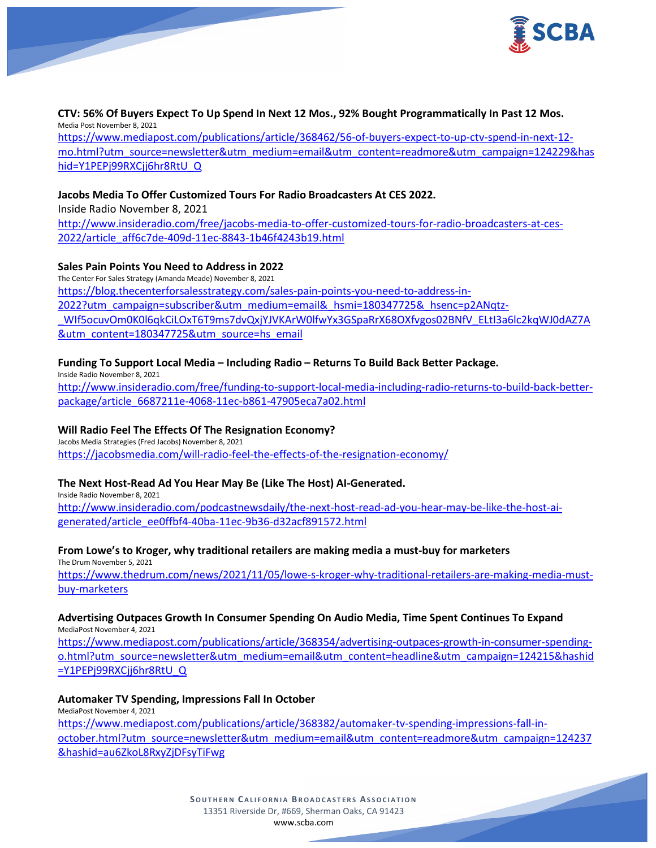

**CTV: 56% Of Buyers Expect To Up Spend In Next 12 Mos., 92% Bought Programmatically In Past 12 Mos.** Media Post November 8, 2021 [https://www.mediapost.com/publications/article/368462/56-of-buyers-expect-to-up-ctv-spend-in-next-12](https://www.mediapost.com/publications/article/368462/56-of-buyers-expect-to-up-ctv-spend-in-next-12-mo.html?utm_source=newsletter&utm_medium=email&utm_content=readmore&utm_campaign=124229&hashid=Y1PEPj99RXCjj6hr8RtU_Q) [mo.html?utm\\_source=newsletter&utm\\_medium=email&utm\\_content=readmore&utm\\_campaign=124229&has](https://www.mediapost.com/publications/article/368462/56-of-buyers-expect-to-up-ctv-spend-in-next-12-mo.html?utm_source=newsletter&utm_medium=email&utm_content=readmore&utm_campaign=124229&hashid=Y1PEPj99RXCjj6hr8RtU_Q) [hid=Y1PEPj99RXCjj6hr8RtU\\_Q](https://www.mediapost.com/publications/article/368462/56-of-buyers-expect-to-up-ctv-spend-in-next-12-mo.html?utm_source=newsletter&utm_medium=email&utm_content=readmore&utm_campaign=124229&hashid=Y1PEPj99RXCjj6hr8RtU_Q)

### **Jacobs Media To Offer Customized Tours For Radio Broadcasters At CES 2022.**

Inside Radio November 8, 2021

[http://www.insideradio.com/free/jacobs-media-to-offer-customized-tours-for-radio-broadcasters-at-ces-](http://www.insideradio.com/free/jacobs-media-to-offer-customized-tours-for-radio-broadcasters-at-ces-2022/article_aff6c7de-409d-11ec-8843-1b46f4243b19.html)[2022/article\\_aff6c7de-409d-11ec-8843-1b46f4243b19.html](http://www.insideradio.com/free/jacobs-media-to-offer-customized-tours-for-radio-broadcasters-at-ces-2022/article_aff6c7de-409d-11ec-8843-1b46f4243b19.html)

#### **Sales Pain Points You Need to Address in 2022**

The Center For Sales Strategy (Amanda Meade) November 8, 2021 [https://blog.thecenterforsalesstrategy.com/sales-pain-points-you-need-to-address-in-](https://blog.thecenterforsalesstrategy.com/sales-pain-points-you-need-to-address-in-2022?utm_campaign=subscriber&utm_medium=email&_hsmi=180347725&_hsenc=p2ANqtz-_WIf5ocuvOm0K0l6qkCiLOxT6T9ms7dvQxjYJVKArW0lfwYx3GSpaRrX68OXfvgos02BNfV_ELtI3a6lc2kqWJ0dAZ7A&utm_content=180347725&utm_source=hs_email)[2022?utm\\_campaign=subscriber&utm\\_medium=email&\\_hsmi=180347725&\\_hsenc=p2ANqtz-](https://blog.thecenterforsalesstrategy.com/sales-pain-points-you-need-to-address-in-2022?utm_campaign=subscriber&utm_medium=email&_hsmi=180347725&_hsenc=p2ANqtz-_WIf5ocuvOm0K0l6qkCiLOxT6T9ms7dvQxjYJVKArW0lfwYx3GSpaRrX68OXfvgos02BNfV_ELtI3a6lc2kqWJ0dAZ7A&utm_content=180347725&utm_source=hs_email) [\\_WIf5ocuvOm0K0l6qkCiLOxT6T9ms7dvQxjYJVKArW0lfwYx3GSpaRrX68OXfvgos02BNfV\\_ELtI3a6lc2kqWJ0dAZ7A](https://blog.thecenterforsalesstrategy.com/sales-pain-points-you-need-to-address-in-2022?utm_campaign=subscriber&utm_medium=email&_hsmi=180347725&_hsenc=p2ANqtz-_WIf5ocuvOm0K0l6qkCiLOxT6T9ms7dvQxjYJVKArW0lfwYx3GSpaRrX68OXfvgos02BNfV_ELtI3a6lc2kqWJ0dAZ7A&utm_content=180347725&utm_source=hs_email) [&utm\\_content=180347725&utm\\_source=hs\\_email](https://blog.thecenterforsalesstrategy.com/sales-pain-points-you-need-to-address-in-2022?utm_campaign=subscriber&utm_medium=email&_hsmi=180347725&_hsenc=p2ANqtz-_WIf5ocuvOm0K0l6qkCiLOxT6T9ms7dvQxjYJVKArW0lfwYx3GSpaRrX68OXfvgos02BNfV_ELtI3a6lc2kqWJ0dAZ7A&utm_content=180347725&utm_source=hs_email)

### **Funding To Support Local Media – Including Radio – Returns To Build Back Better Package.**

Inside Radio November 8, 2021 [http://www.insideradio.com/free/funding-to-support-local-media-including-radio-returns-to-build-back-better](http://www.insideradio.com/free/funding-to-support-local-media-including-radio-returns-to-build-back-better-package/article_6687211e-4068-11ec-b861-47905eca7a02.html)[package/article\\_6687211e-4068-11ec-b861-47905eca7a02.html](http://www.insideradio.com/free/funding-to-support-local-media-including-radio-returns-to-build-back-better-package/article_6687211e-4068-11ec-b861-47905eca7a02.html)

## **Will Radio Feel The Effects Of The Resignation Economy?**

Jacobs Media Strategies (Fred Jacobs) November 8, 2021 <https://jacobsmedia.com/will-radio-feel-the-effects-of-the-resignation-economy/>

#### **The Next Host-Read Ad You Hear May Be (Like The Host) AI-Generated.**

Inside Radio November 8, 2021 [http://www.insideradio.com/podcastnewsdaily/the-next-host-read-ad-you-hear-may-be-like-the-host-ai](http://www.insideradio.com/podcastnewsdaily/the-next-host-read-ad-you-hear-may-be-like-the-host-ai-generated/article_ee0ffbf4-40ba-11ec-9b36-d32acf891572.html)[generated/article\\_ee0ffbf4-40ba-11ec-9b36-d32acf891572.html](http://www.insideradio.com/podcastnewsdaily/the-next-host-read-ad-you-hear-may-be-like-the-host-ai-generated/article_ee0ffbf4-40ba-11ec-9b36-d32acf891572.html)

## **From Lowe's to Kroger, why traditional retailers are making media a must-buy for marketers**

The Drum November 5, 2021 [https://www.thedrum.com/news/2021/11/05/lowe-s-kroger-why-traditional-retailers-are-making-media-must](https://www.thedrum.com/news/2021/11/05/lowe-s-kroger-why-traditional-retailers-are-making-media-must-buy-marketers)[buy-marketers](https://www.thedrum.com/news/2021/11/05/lowe-s-kroger-why-traditional-retailers-are-making-media-must-buy-marketers)

#### **Advertising Outpaces Growth In Consumer Spending On Audio Media, Time Spent Continues To Expand** MediaPost November 4, 2021

[https://www.mediapost.com/publications/article/368354/advertising-outpaces-growth-in-consumer-spending](https://www.mediapost.com/publications/article/368354/advertising-outpaces-growth-in-consumer-spending-o.html?utm_source=newsletter&utm_medium=email&utm_content=headline&utm_campaign=124215&hashid=Y1PEPj99RXCjj6hr8RtU_Q)[o.html?utm\\_source=newsletter&utm\\_medium=email&utm\\_content=headline&utm\\_campaign=124215&hashid](https://www.mediapost.com/publications/article/368354/advertising-outpaces-growth-in-consumer-spending-o.html?utm_source=newsletter&utm_medium=email&utm_content=headline&utm_campaign=124215&hashid=Y1PEPj99RXCjj6hr8RtU_Q) [=Y1PEPj99RXCjj6hr8RtU\\_Q](https://www.mediapost.com/publications/article/368354/advertising-outpaces-growth-in-consumer-spending-o.html?utm_source=newsletter&utm_medium=email&utm_content=headline&utm_campaign=124215&hashid=Y1PEPj99RXCjj6hr8RtU_Q)

#### **Automaker TV Spending, Impressions Fall In October**

MediaPost November 4, 2021

[https://www.mediapost.com/publications/article/368382/automaker-tv-spending-impressions-fall-in](https://www.mediapost.com/publications/article/368382/automaker-tv-spending-impressions-fall-in-october.html?utm_source=newsletter&utm_medium=email&utm_content=readmore&utm_campaign=124237&hashid=au6ZkoL8RxyZjDFsyTiFwg)[october.html?utm\\_source=newsletter&utm\\_medium=email&utm\\_content=readmore&utm\\_campaign=124237](https://www.mediapost.com/publications/article/368382/automaker-tv-spending-impressions-fall-in-october.html?utm_source=newsletter&utm_medium=email&utm_content=readmore&utm_campaign=124237&hashid=au6ZkoL8RxyZjDFsyTiFwg) [&hashid=au6ZkoL8RxyZjDFsyTiFwg](https://www.mediapost.com/publications/article/368382/automaker-tv-spending-impressions-fall-in-october.html?utm_source=newsletter&utm_medium=email&utm_content=readmore&utm_campaign=124237&hashid=au6ZkoL8RxyZjDFsyTiFwg)

> **SOUTHERN C ALIFORNIA B ROADCASTERS ASSOCIATION** 13351 Riverside Dr, #669, Sherman Oaks, CA 91423 [www.scba.com](http://www.scba.com/)